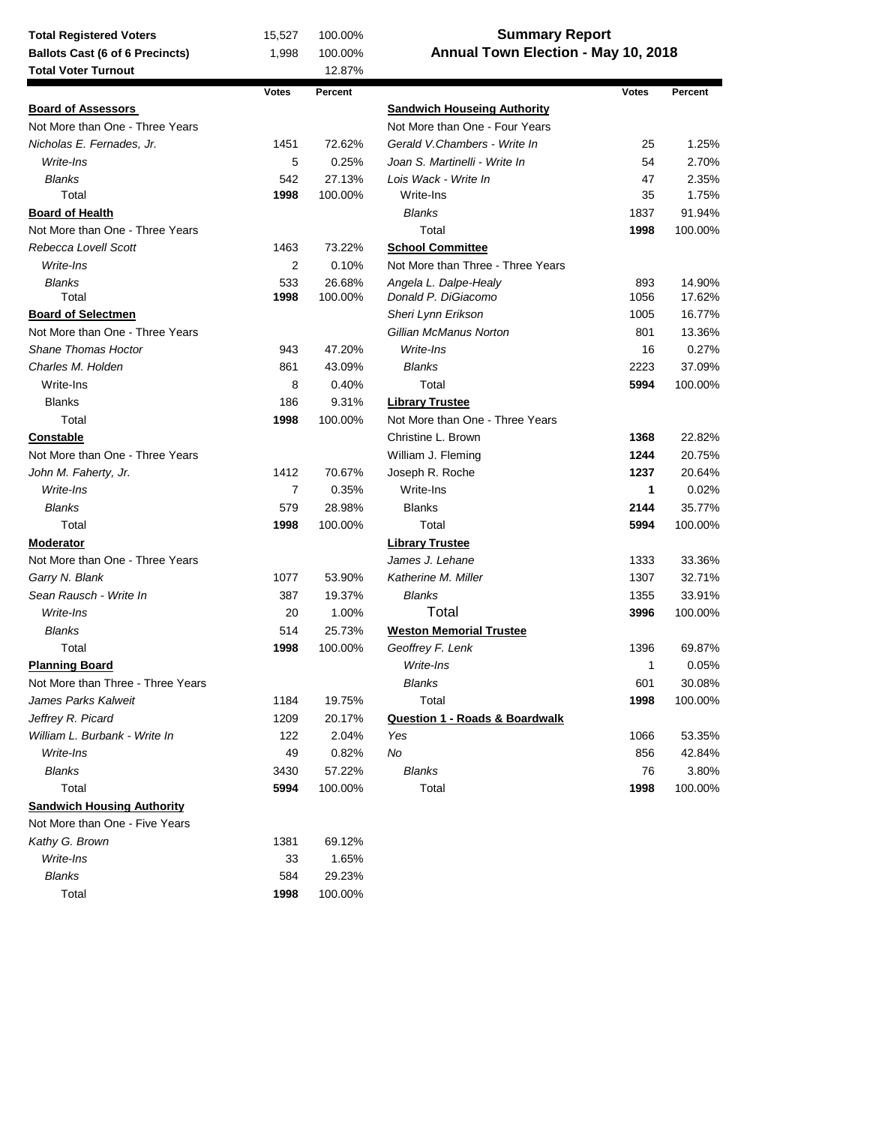| <b>Total Registered Voters</b>                             | 15,527         | <b>Summary Report</b><br>100.00% |                                           |              |         |  |  |
|------------------------------------------------------------|----------------|----------------------------------|-------------------------------------------|--------------|---------|--|--|
| <b>Ballots Cast (6 of 6 Precincts)</b>                     | 1,998          | 100.00%                          | Annual Town Election - May 10, 2018       |              |         |  |  |
| <b>Total Voter Turnout</b>                                 |                | 12.87%                           |                                           |              |         |  |  |
|                                                            | <b>Votes</b>   | Percent                          |                                           | <b>Votes</b> | Percent |  |  |
| <b>Board of Assessors</b>                                  |                |                                  | <b>Sandwich Houseing Authority</b>        |              |         |  |  |
| Not More than One - Three Years                            |                |                                  | Not More than One - Four Years            |              |         |  |  |
| Nicholas E. Fernades, Jr.                                  | 1451           | 72.62%                           | Gerald V.Chambers - Write In              | 25           | 1.25%   |  |  |
| Write-Ins                                                  | 5              | 0.25%                            | Joan S. Martinelli - Write In             | 54           | 2.70%   |  |  |
| <b>Blanks</b>                                              | 542            | 27.13%                           | Lois Wack - Write In                      | 47           | 2.35%   |  |  |
| Total                                                      | 1998           | 100.00%                          | Write-Ins                                 | 35           | 1.75%   |  |  |
| <b>Board of Health</b>                                     |                |                                  | <b>Blanks</b>                             | 1837         | 91.94%  |  |  |
| Not More than One - Three Years                            |                |                                  | Total                                     | 1998         | 100.00% |  |  |
| Rebecca Lovell Scott                                       | 1463           | 73.22%                           | <b>School Committee</b>                   |              |         |  |  |
| Write-Ins                                                  | $\overline{2}$ | 0.10%                            | Not More than Three - Three Years         |              |         |  |  |
| <b>Blanks</b>                                              | 533            | 26.68%                           | Angela L. Dalpe-Healy                     | 893          | 14.90%  |  |  |
| Total                                                      | 1998           | 100.00%                          | Donald P. DiGiacomo                       | 1056         | 17.62%  |  |  |
| <b>Board of Selectmen</b>                                  |                |                                  | Sheri Lynn Erikson                        | 1005         | 16.77%  |  |  |
| Not More than One - Three Years                            |                |                                  | Gillian McManus Norton                    | 801          | 13.36%  |  |  |
| <b>Shane Thomas Hoctor</b>                                 | 943            | 47.20%                           | Write-Ins                                 | 16           | 0.27%   |  |  |
| Charles M. Holden                                          | 861            | 43.09%                           | <b>Blanks</b>                             | 2223         | 37.09%  |  |  |
| Write-Ins                                                  | 8              | 0.40%                            | Total                                     | 5994         | 100.00% |  |  |
| <b>Blanks</b>                                              | 186            | 9.31%                            | <b>Library Trustee</b>                    |              |         |  |  |
| Total                                                      | 1998           | 100.00%                          | Not More than One - Three Years           |              |         |  |  |
| <b>Constable</b>                                           |                |                                  | Christine L. Brown                        | 1368         | 22.82%  |  |  |
| Not More than One - Three Years                            |                |                                  | William J. Fleming                        | 1244         | 20.75%  |  |  |
| John M. Faherty, Jr.                                       | 1412           | 70.67%                           | Joseph R. Roche                           | 1237         | 20.64%  |  |  |
| Write-Ins                                                  | $\overline{7}$ | 0.35%                            | Write-Ins                                 | $\mathbf{1}$ | 0.02%   |  |  |
| <b>Blanks</b>                                              | 579            | 28.98%                           | <b>Blanks</b>                             | 2144         | 35.77%  |  |  |
| Total                                                      | 1998           | 100.00%                          | Total                                     | 5994         | 100.00% |  |  |
| <b>Moderator</b>                                           |                |                                  | <b>Library Trustee</b>                    |              |         |  |  |
| Not More than One - Three Years                            |                |                                  | James J. Lehane                           | 1333         | 33.36%  |  |  |
| Garry N. Blank                                             | 1077           | 53.90%                           | Katherine M. Miller                       | 1307         | 32.71%  |  |  |
| Sean Rausch - Write In                                     | 387            | 19.37%                           | <b>Blanks</b>                             | 1355         | 33.91%  |  |  |
| Write-Ins                                                  | 20             | 1.00%                            | Total                                     | 3996         | 100.00% |  |  |
| <b>Blanks</b>                                              | 514            | 25.73%                           | <b>Weston Memorial Trustee</b>            |              |         |  |  |
| Total                                                      | 1998           | 100.00%                          | Geoffrey F. Lenk                          | 1396         | 69.87%  |  |  |
|                                                            |                |                                  | Write-Ins                                 | 1            | 0.05%   |  |  |
| <b>Planning Board</b><br>Not More than Three - Three Years |                |                                  | <b>Blanks</b>                             |              | 30.08%  |  |  |
|                                                            |                |                                  |                                           | 601          |         |  |  |
| James Parks Kalweit<br>Jeffrey R. Picard                   | 1184           | 19.75%                           | Total                                     | 1998         | 100.00% |  |  |
|                                                            | 1209           | 20.17%                           | <b>Question 1 - Roads &amp; Boardwalk</b> |              |         |  |  |
| William L. Burbank - Write In                              | 122            | 2.04%                            | Yes                                       | 1066         | 53.35%  |  |  |
| Write-Ins                                                  | 49             | 0.82%                            | No                                        | 856          | 42.84%  |  |  |
| <b>Blanks</b>                                              | 3430           | 57.22%                           | <b>Blanks</b>                             | 76           | 3.80%   |  |  |
| Total                                                      | 5994           | 100.00%                          | Total                                     | 1998         | 100.00% |  |  |
| <b>Sandwich Housing Authority</b>                          |                |                                  |                                           |              |         |  |  |
| Not More than One - Five Years                             |                |                                  |                                           |              |         |  |  |
| Kathy G. Brown                                             | 1381           | 69.12%                           |                                           |              |         |  |  |
| Write-Ins                                                  | 33             | 1.65%                            |                                           |              |         |  |  |
| <b>Blanks</b>                                              | 584            | 29.23%                           |                                           |              |         |  |  |
| Total                                                      | 1998           | 100.00%                          |                                           |              |         |  |  |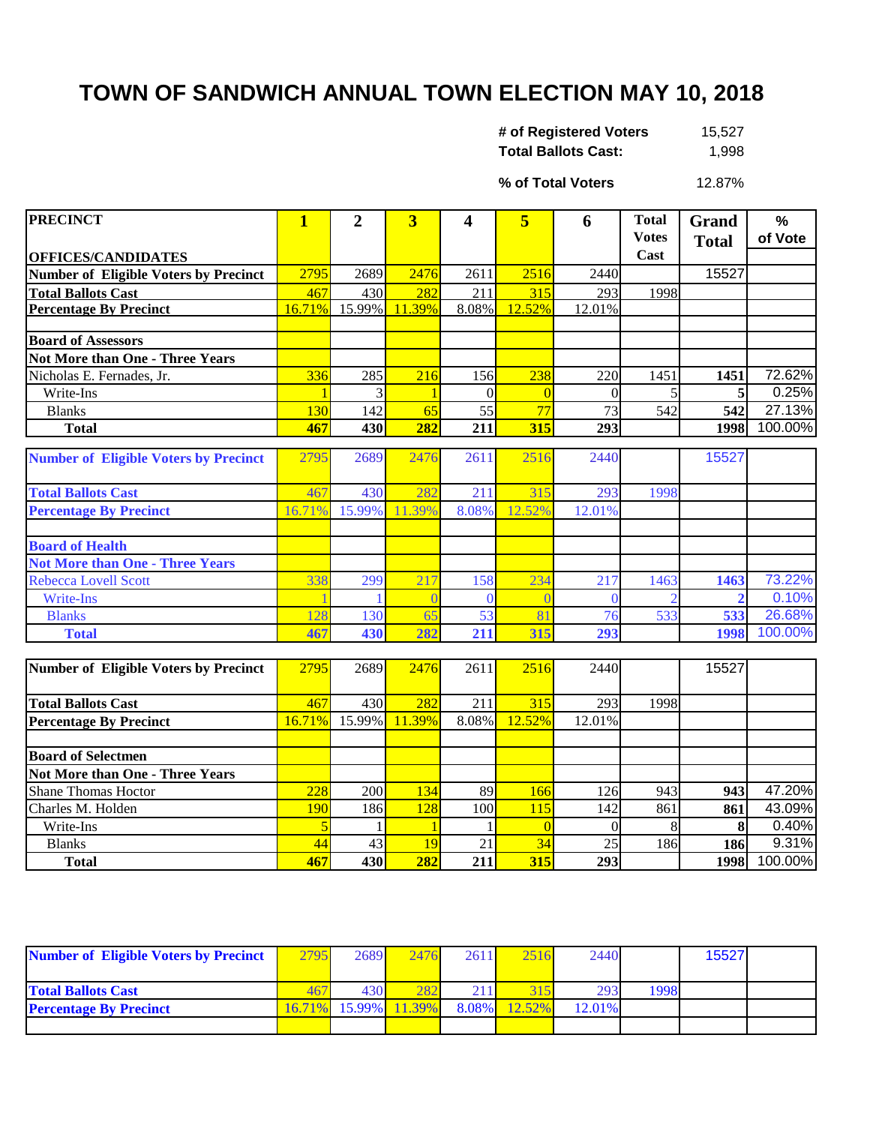## **TOWN OF SANDWICH ANNUAL TOWN ELECTION MAY 10, 2018**

| # of Registered Voters     | 15,527 |
|----------------------------|--------|
| <b>Total Ballots Cast:</b> | 1,998  |

12.87% **% of Total Voters**

| <b>PRECINCT</b>                              | $\overline{\mathbf{1}}$ | $\overline{2}$ | $\overline{\mathbf{3}}$ | 4        | 5              | 6        | <b>Total</b> | <b>Grand</b> | $\frac{0}{0}$ |
|----------------------------------------------|-------------------------|----------------|-------------------------|----------|----------------|----------|--------------|--------------|---------------|
|                                              |                         |                |                         |          |                |          | <b>Votes</b> | <b>Total</b> | of Vote       |
| <b>OFFICES/CANDIDATES</b>                    |                         |                |                         |          |                |          | Cast         |              |               |
| <b>Number of Eligible Voters by Precinct</b> | 2795                    | 2689           | 2476                    | 2611     | 2516           | 2440     |              | 15527        |               |
| <b>Total Ballots Cast</b>                    | 467                     | 430            | 282                     | 211      | 315            | 293      | 1998         |              |               |
| <b>Percentage By Precinct</b>                | 16.71%                  | 15.99%         | 11.39%                  | 8.08%    | 12.52%         | 12.01%   |              |              |               |
| <b>Board of Assessors</b>                    |                         |                |                         |          |                |          |              |              |               |
| <b>Not More than One - Three Years</b>       |                         |                |                         |          |                |          |              |              |               |
| Nicholas E. Fernades, Jr.                    | 336                     | 285            | 216                     | 156      | 238            | 220      | 1451         | 1451         | 72.62%        |
| Write-Ins                                    |                         | 3              |                         | $\Omega$ | $\overline{0}$ | $\theta$ | 5            | 5            | 0.25%         |
| <b>Blanks</b>                                | 130                     | 142            | 65                      | 55       | 77             | 73       | 542          | 542          | 27.13%        |
| <b>Total</b>                                 | 467                     | 430            | 282                     | 211      | 315            | 293      |              | 1998         | 100.00%       |
|                                              |                         |                |                         |          |                |          |              |              |               |
| <b>Number of Eligible Voters by Precinct</b> | 2795                    | 2689           | 2476                    | 2611     | 2516           | 2440     |              | 15527        |               |
| <b>Total Ballots Cast</b>                    | 467                     | 430            | 282                     | 211      | 315            | 293      | 1998         |              |               |
| <b>Percentage By Precinct</b>                | 16.71%                  | 15.99%         | 11.39%                  | 8.08%    | 12.52%         | 12.01%   |              |              |               |
|                                              |                         |                |                         |          |                |          |              |              |               |
| <b>Board of Health</b>                       |                         |                |                         |          |                |          |              |              |               |
| <b>Not More than One - Three Years</b>       |                         |                |                         |          |                |          |              |              |               |
| Rebecca Lovell Scott                         | 338                     | 299            | 217                     | 158      | 234            | 217      | 1463         | 1463         | 73.22%        |
| Write-Ins                                    |                         |                |                         | $\Omega$ |                | ∩        |              |              | 0.10%         |
| <b>Blanks</b>                                | 128                     | 130            | 65                      | 53       | 8              | 76       | 533          | 533          | 26.68%        |
| <b>Total</b>                                 | 467                     | 430            | 282                     | 211      | 315            | 293      |              | 1998         | 100.00%       |
|                                              |                         |                |                         |          |                |          |              |              |               |
| <b>Number of Eligible Voters by Precinct</b> | 2795                    | 2689           | 2476                    | 2611     | 2516           | 2440     |              | 15527        |               |
| <b>Total Ballots Cast</b>                    | 467                     | 430            | 282                     | 211      | 315            | 293      | 1998         |              |               |
| <b>Percentage By Precinct</b>                | 16.71%                  | 15.99%         | 11.39%                  | 8.08%    | 12.52%         | 12.01%   |              |              |               |
| <b>Board of Selectmen</b>                    |                         |                |                         |          |                |          |              |              |               |
| <b>Not More than One - Three Years</b>       |                         |                |                         |          |                |          |              |              |               |
| <b>Shane Thomas Hoctor</b>                   | 228                     | 200            | 134                     | 89       | 166            | 126      | 943          | 943          | 47.20%        |
| Charles M. Holden                            | 190                     | 186            | 128                     | 100      | 115            | 142      | 861          | 861          | 43.09%        |
| Write-Ins                                    |                         |                |                         |          | $\overline{0}$ | $\Omega$ | 8            | 8            | 0.40%         |
| <b>Blanks</b>                                | 44                      | 43             | 19                      | 21       | 34             | 25       | 186          | 186          | 9.31%         |
| <b>Total</b>                                 | 467                     | 430            | 282                     | 211      | 315            | 293      |              | 1998         | 100.00%       |

| <b>Number of Eligible Voters by Precinct</b> | 2795 | 2689             | 2476                 | 2611  | 2516 | 2440   |      | 15527 |  |
|----------------------------------------------|------|------------------|----------------------|-------|------|--------|------|-------|--|
|                                              |      |                  |                      |       |      |        |      |       |  |
| <b>Total Ballots Cast</b>                    |      | 430 <sup> </sup> | 282                  |       |      | 293    | 1998 |       |  |
| <b>Percentage By Precinct</b>                |      |                  | 16.71% 15.99% 11.39% | 8.08% |      | 12.01% |      |       |  |
|                                              |      |                  |                      |       |      |        |      |       |  |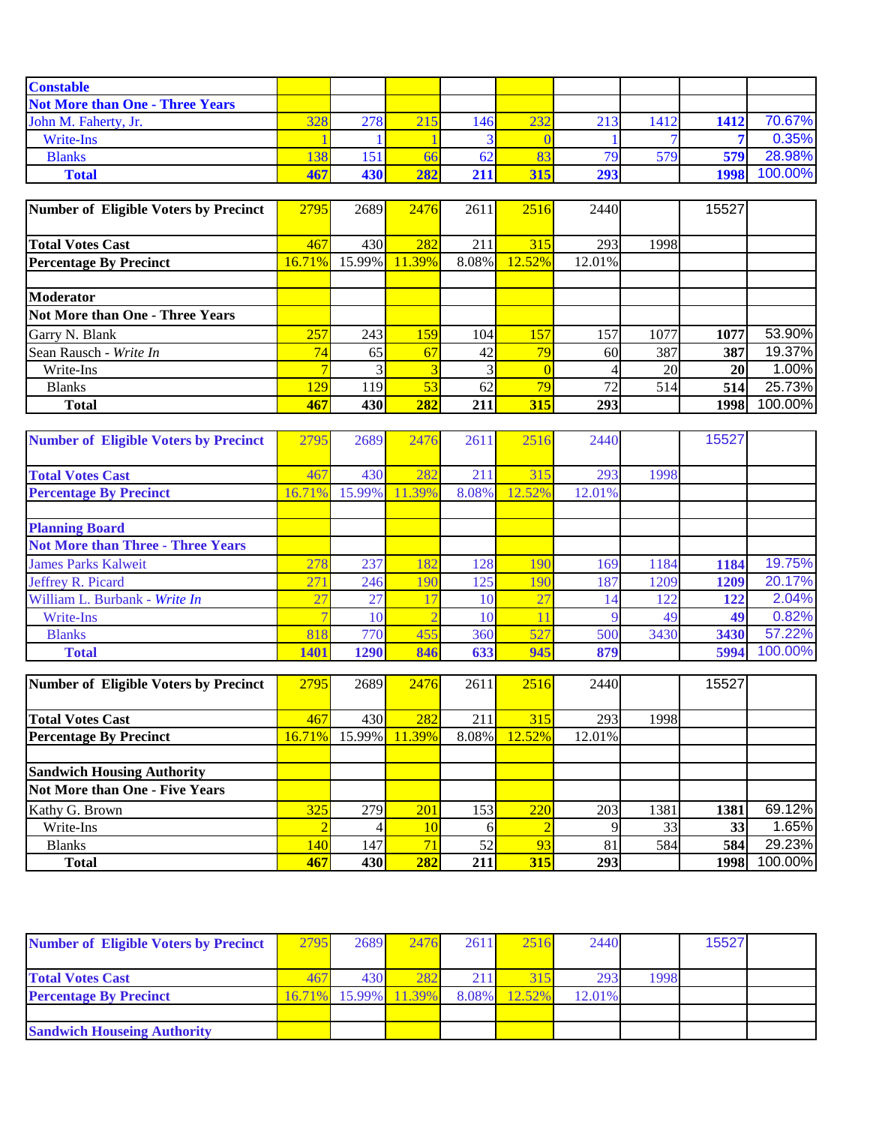| <b>Constable</b>                       |                 |     |     |      |     |     |            |      |         |
|----------------------------------------|-----------------|-----|-----|------|-----|-----|------------|------|---------|
| <b>Not More than One - Three Years</b> |                 |     |     |      |     |     |            |      |         |
| John M. Faherty, Jr.                   | 3281            | 278 | 215 | 1461 | 232 | 213 | 1412       | 1412 | 70.67%  |
| Write-Ins                              |                 |     |     |      |     |     |            |      | 0.35%   |
| <b>Blanks</b>                          | 38 <sub>l</sub> | 151 | 66  | 62   |     | 70  | <b>579</b> | 579  | 28.98%  |
| <b>Total</b>                           | 467             | 430 | 282 |      | 315 | 293 |            | 1998 | 100.00% |

| Number of Eligible Voters by Precinct | 2795   | 2689   | 2476   | 2611  | 2516       | 2440            |      | 15527 |         |
|---------------------------------------|--------|--------|--------|-------|------------|-----------------|------|-------|---------|
|                                       |        |        |        |       |            |                 |      |       |         |
| <b>Total Votes Cast</b>               | 467    | 430    | 282    | 211   | 315        | 293             | 1998 |       |         |
| <b>Percentage By Precinct</b>         | 16.71% | 15.99% | 11.39% | 8.08% | 12.52%     | 12.01%          |      |       |         |
|                                       |        |        |        |       |            |                 |      |       |         |
| <b>Moderator</b>                      |        |        |        |       |            |                 |      |       |         |
| Not More than One - Three Years       |        |        |        |       |            |                 |      |       |         |
| Garry N. Blank                        | 257    | 243    | 159    | 104   | 157        | 157             | 1077 | 1077  | 53.90%  |
| Sean Rausch - Write In                | 74     | 65     | 67     | 42    | 70         | 60              | 387  | 387   | 19.37%  |
| Write-Ins                             |        |        |        |       |            |                 | 20   | 20    | 1.00%   |
| <b>Blanks</b>                         | 129    | 119    | 53     | 62    | 79.        | 72 <sub>1</sub> | 514  | 514   | 25.73%  |
| <b>Total</b>                          | 467    | 430    | 282    | 211   | <b>315</b> | 293             |      | 1998  | 100.00% |

| <b>Number of Eligible Voters by Precinct</b> | 2795        | 2689   | 2476   | 2611            | 2516   | 2440   |      | 15527 |         |
|----------------------------------------------|-------------|--------|--------|-----------------|--------|--------|------|-------|---------|
|                                              |             |        |        |                 |        |        |      |       |         |
| <b>Total Votes Cast</b>                      | 467         | 430    | 282    | 211             | 315    | 293    | 1998 |       |         |
| <b>Percentage By Precinct</b>                | 16.71%      | 15.99% | 11.39% | 8.08%           | 12.52% | 12.01% |      |       |         |
|                                              |             |        |        |                 |        |        |      |       |         |
| <b>Planning Board</b>                        |             |        |        |                 |        |        |      |       |         |
| <b>Not More than Three - Three Years</b>     |             |        |        |                 |        |        |      |       |         |
| <b>James Parks Kalweit</b>                   | 278         | 237    | 182    | 128             | 190    | 169    | 1184 | 1184  | 19.75%  |
| Jeffrey R. Picard                            | 271         | 246    | 190    | 125             | 190    | 187    | 1209 | 1209  | 20.17%  |
| William L. Burbank - Write In                |             | 27     | 17     | 10 <sub>1</sub> | 27     | 14     | 122  | 122   | 2.04%   |
| Write-Ins                                    |             | 10     |        | 10              |        |        | 49   | 49    | 0.82%   |
| <b>Blanks</b>                                | 818         | 770    | 455    | 360             | 527    | 500    | 3430 | 3430  | 57.22%  |
| <b>Total</b>                                 | <b>1401</b> | 1290   | 846    | 633             | 945    | 879    |      | 5994  | 100.00% |

| Number of Eligible Voters by Precinct | 2795             | 2689   | 2476            | 2611  | 2516   | 2440   |      | 15527 |         |
|---------------------------------------|------------------|--------|-----------------|-------|--------|--------|------|-------|---------|
|                                       |                  |        |                 |       |        |        |      |       |         |
| <b>Total Votes Cast</b>               | 467              | 430    | 282             | 211   | 315    | 293    | 1998 |       |         |
| <b>Percentage By Precinct</b>         | 16.71%           | 15.99% | 11.39%          | 8.08% | 12.52% | 12.01% |      |       |         |
|                                       |                  |        |                 |       |        |        |      |       |         |
| <b>Sandwich Housing Authority</b>     |                  |        |                 |       |        |        |      |       |         |
| Not More than One - Five Years        |                  |        |                 |       |        |        |      |       |         |
| Kathy G. Brown                        | 325              | 279    | 201             | 153   | 220    | 203    | 1381 | 1381  | 69.12%  |
| Write-Ins                             |                  |        | 10 <sub>l</sub> |       |        |        | 33   | 33    | 1.65%   |
| <b>Blanks</b>                         | 140 <sub>l</sub> | 147    | 71              | 52    | 93     | 81     | 584  | 584   | 29.23%  |
| <b>Total</b>                          | 467              | 430    | 282             | 211   | 315    | 293    |      | 1998  | 100.00% |

| <b>Number of Eligible Voters by Precinct</b> | 2795 | 2689 | 2476                 | 2611         | 2516   | 2440   |      | 15527 |  |
|----------------------------------------------|------|------|----------------------|--------------|--------|--------|------|-------|--|
|                                              |      |      |                      |              |        |        |      |       |  |
| <b>Total Votes Cast</b>                      |      | 430  | 282                  | $21^{\circ}$ | 315    | 293    | 1998 |       |  |
| <b>Percentage By Precinct</b>                |      |      | 16.71% 15.99% 11.39% | 8.08%        | 12.52% | 12.01% |      |       |  |
|                                              |      |      |                      |              |        |        |      |       |  |
| <b>Sandwich Houseing Authority</b>           |      |      |                      |              |        |        |      |       |  |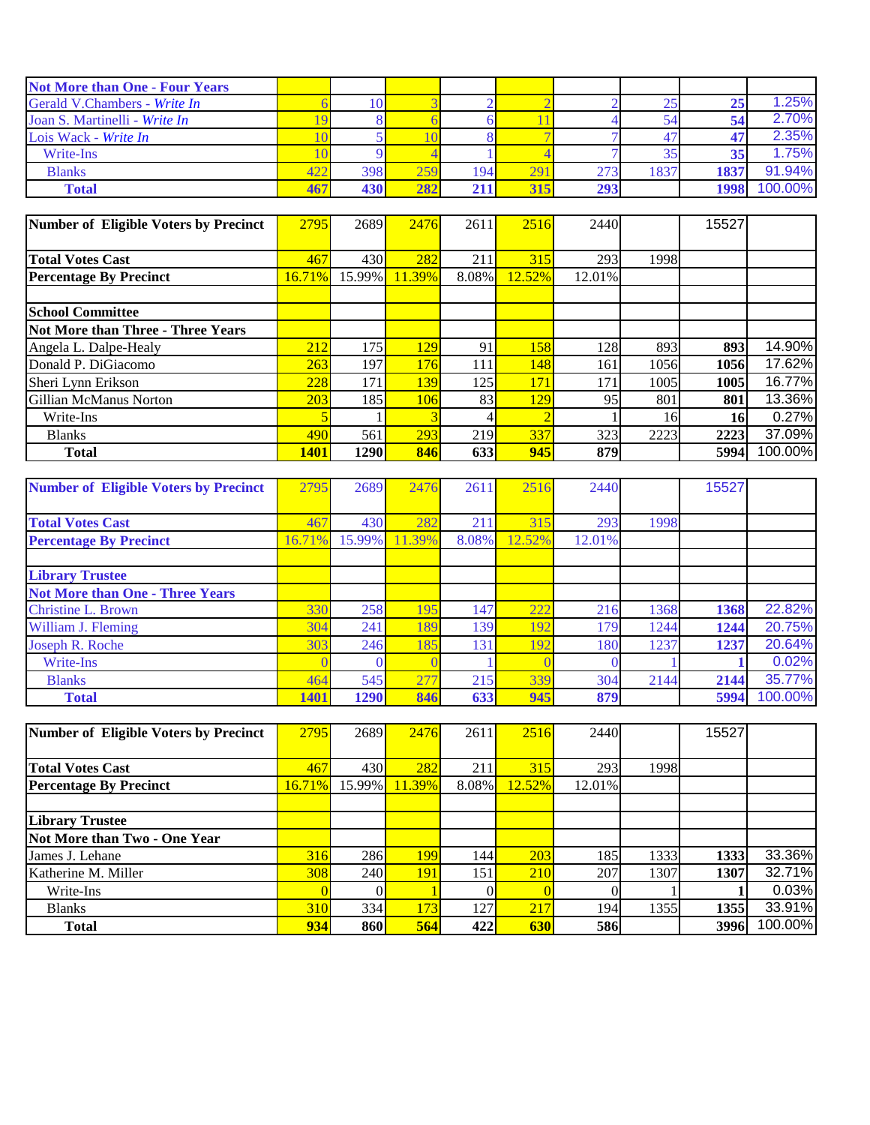| <b>Not More than One - Four Years</b> |     |     |                  |     |     |      |      |         |
|---------------------------------------|-----|-----|------------------|-----|-----|------|------|---------|
| Gerald V.Chambers - Write In          |     |     |                  |     |     |      |      | 1.25%   |
| Joan S. Martinelli - Write In         |     |     |                  |     |     |      |      | 2.70%   |
| Lois Wack - Write In                  |     |     |                  |     |     |      |      | 2.35%   |
| Write-Ins                             |     |     |                  |     |     |      |      | 1.75%   |
| <b>Blanks</b>                         | 398 | 259 | 194 <sub>h</sub> | 29  | 273 | 1837 | 1837 | 91.94%  |
| <b>Total</b>                          | 430 | 282 |                  | 315 | 293 |      | 1998 | 100.00% |

| Number of Eligible Voters by Precinct | 2795        | 2689   | 2476   | 2611  | 2516   | 2440   |      | 15527     |         |
|---------------------------------------|-------------|--------|--------|-------|--------|--------|------|-----------|---------|
|                                       |             |        |        |       |        |        |      |           |         |
| <b>Total Votes Cast</b>               | 467         | 430I   | 282    | 211   | 315    | 293    | 1998 |           |         |
| <b>Percentage By Precinct</b>         | $16.71\%$   | 15.99% | 11.39% | 8.08% | 12.52% | 12.01% |      |           |         |
|                                       |             |        |        |       |        |        |      |           |         |
| <b>School Committee</b>               |             |        |        |       |        |        |      |           |         |
| Not More than Three - Three Years     |             |        |        |       |        |        |      |           |         |
| Angela L. Dalpe-Healy                 | 212         | 175    | 129    | 91    | 158    | 128    | 893  | 893       | 14.90%  |
| Donald P. DiGiacomo                   | 263         | 197    | 176    | 111   | 148    | 161    | 1056 | 1056      | 17.62%  |
| Sheri Lynn Erikson                    | 228         | 171    | 139    | 125   | 171    | 171    | 1005 | 1005      | 16.77%  |
| Gillian McManus Norton                | 203         | 185    | 106    | 83    | 129    | 95     | 801  | 801       | 13.36%  |
| Write-Ins                             |             |        |        |       |        |        | 16   | <b>16</b> | 0.27%   |
| <b>Blanks</b>                         | 490         | 561    | 293    | 219   | 337    | 323    | 2223 | 2223      | 37.09%  |
| <b>Total</b>                          | <b>1401</b> | 1290   | 846    | 633   | 945    | 879    |      | 5994      | 100.00% |

| <b>Number of Eligible Voters by Precinct</b> | 2795        | 2689   | 2476   | 2611  | 2516   | 2440   |      | 15527 |         |
|----------------------------------------------|-------------|--------|--------|-------|--------|--------|------|-------|---------|
|                                              |             |        |        |       |        |        |      |       |         |
| <b>Total Votes Cast</b>                      | 467         | 430    | 282    | 211   | 315    | 293    | 1998 |       |         |
| <b>Percentage By Precinct</b>                | 16.71%      | 15.99% | 11.39% | 8.08% | 12.52% | 12.01% |      |       |         |
|                                              |             |        |        |       |        |        |      |       |         |
| <b>Library Trustee</b>                       |             |        |        |       |        |        |      |       |         |
| <b>Not More than One - Three Years</b>       |             |        |        |       |        |        |      |       |         |
| <b>Christine L. Brown</b>                    | 330         | 258    | 195    | 147   | 222    | 216    | 1368 | 1368  | 22.82%  |
| William J. Fleming                           | 304         | 241    | 189    | 139   | 192    | 179    | 1244 | 1244  | 20.75%  |
| Joseph R. Roche                              | 303         | 246    | 185    | 131   | 192    | 180    | 1237 | 1237  | 20.64%  |
| Write-Ins                                    |             |        |        |       |        |        |      |       | 0.02%   |
| <b>Blanks</b>                                | 464         | 545    | 277    | 215   | 339    | 304    | 2144 | 2144  | 35.77%  |
| <b>Total</b>                                 | <b>1401</b> | 1290   | 846    | 633   | 945    | 879    |      | 5994  | 100.00% |

| Number of Eligible Voters by Precinct | 2795   | 2689   | 2476   | 2611  | 2516   | 2440   |      | 15527 |         |
|---------------------------------------|--------|--------|--------|-------|--------|--------|------|-------|---------|
|                                       |        |        |        |       |        |        |      |       |         |
| <b>Total Votes Cast</b>               | 467    | 430    | 282    | 211   | 315    | 293    | 1998 |       |         |
| <b>Percentage By Precinct</b>         | 16.71% | 15.99% | 11.39% | 8.08% | 12.52% | 12.01% |      |       |         |
|                                       |        |        |        |       |        |        |      |       |         |
| <b>Library Trustee</b>                |        |        |        |       |        |        |      |       |         |
| Not More than Two - One Year          |        |        |        |       |        |        |      |       |         |
| James J. Lehane                       | 316    | 286    | 199    | 144   | 203    | 185    | 1333 | 1333  | 33.36%  |
| Katherine M. Miller                   | 308    | 240I   | 191    | 151   | 210    | 207    | 1307 | 1307  | 32.71%  |
| Write-Ins                             |        |        |        |       |        |        |      |       | 0.03%   |
| <b>Blanks</b>                         | 310    | 334I   | 173    | 127   | 217    | 194    | 1355 | 1355  | 33.91%  |
| <b>Total</b>                          | 934    | 860    | 564    | 422   | 630    | 586    |      | 3996  | 100.00% |